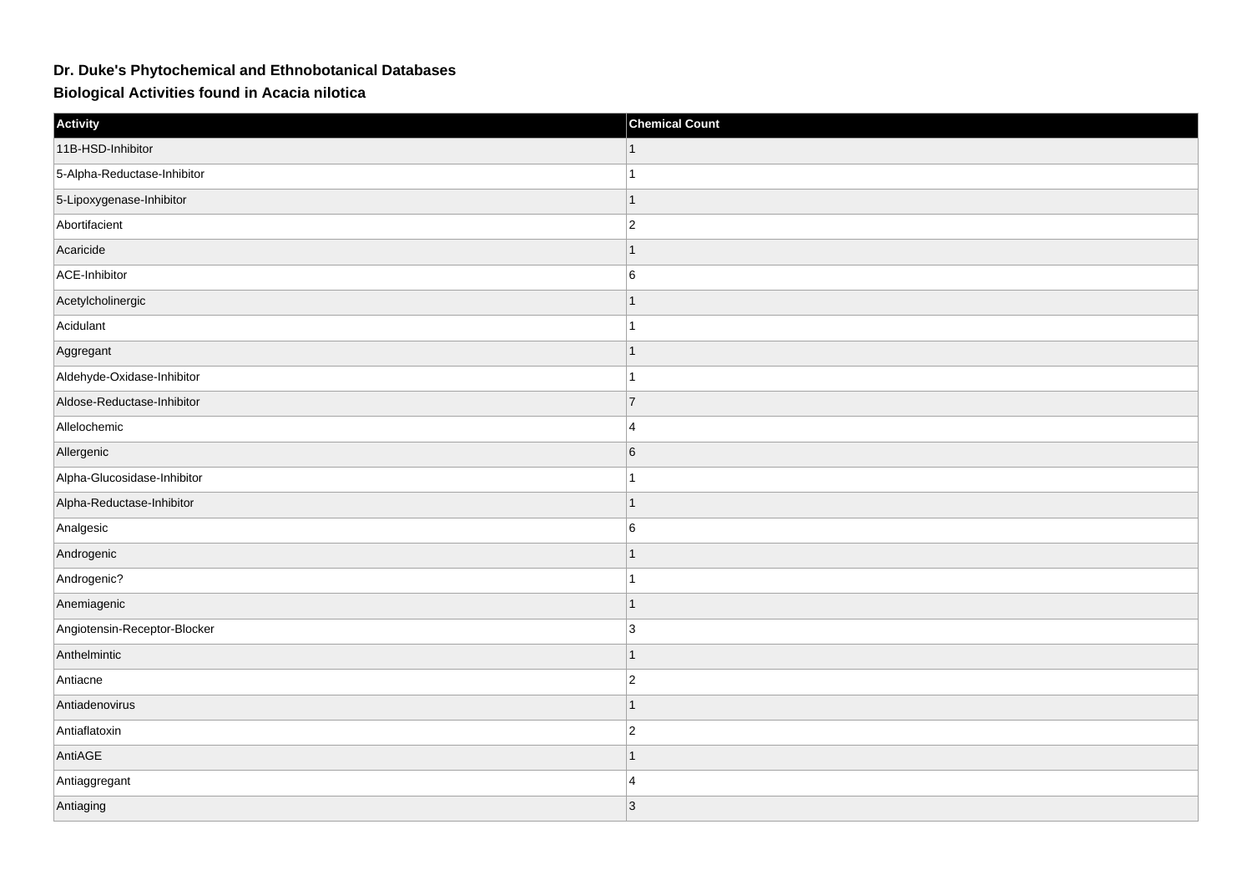## **Dr. Duke's Phytochemical and Ethnobotanical Databases**

**Biological Activities found in Acacia nilotica**

| Activity                     | <b>Chemical Count</b> |
|------------------------------|-----------------------|
| 11B-HSD-Inhibitor            |                       |
| 5-Alpha-Reductase-Inhibitor  | 1                     |
| 5-Lipoxygenase-Inhibitor     | $\mathbf{1}$          |
| Abortifacient                | $\overline{2}$        |
| Acaricide                    | 1                     |
| ACE-Inhibitor                | $6\phantom{a}$        |
| Acetylcholinergic            | 1                     |
| Acidulant                    | 1                     |
| Aggregant                    | $\overline{1}$        |
| Aldehyde-Oxidase-Inhibitor   | 1                     |
| Aldose-Reductase-Inhibitor   | $\overline{7}$        |
| Allelochemic                 | $\overline{4}$        |
| Allergenic                   | $6\phantom{a}$        |
| Alpha-Glucosidase-Inhibitor  | 1                     |
| Alpha-Reductase-Inhibitor    | $\overline{1}$        |
| Analgesic                    | $6\phantom{.0}$       |
| Androgenic                   | 1                     |
| Androgenic?                  | 1                     |
| Anemiagenic                  | 1                     |
| Angiotensin-Receptor-Blocker | 3                     |
| Anthelmintic                 | 1                     |
| Antiacne                     | $ 2\rangle$           |
| Antiadenovirus               | 1                     |
| Antiaflatoxin                | $\overline{2}$        |
| AntiAGE                      | 1                     |
| Antiaggregant                | $\overline{4}$        |
| Antiaging                    | 3                     |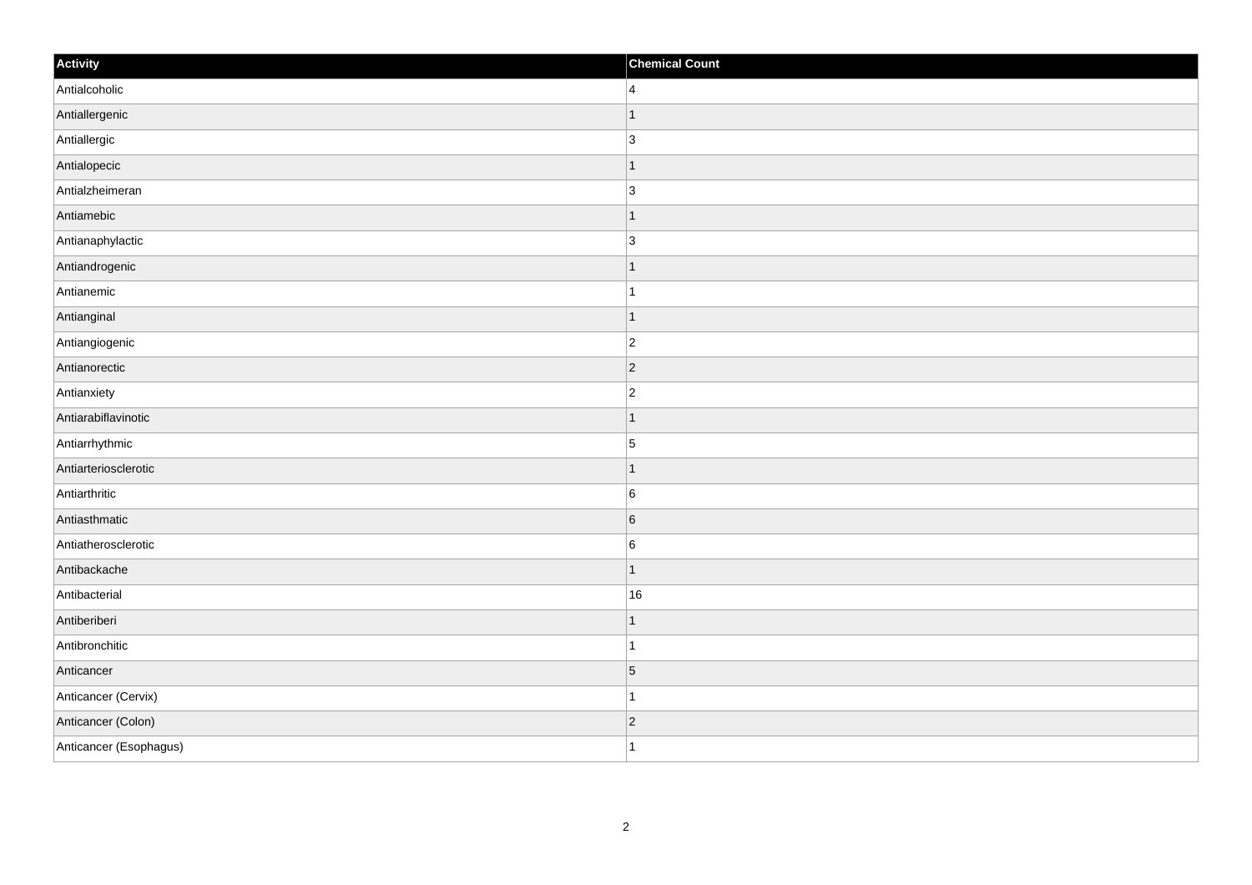| Activity               | <b>Chemical Count</b> |
|------------------------|-----------------------|
| Antialcoholic          | $\overline{4}$        |
| Antiallergenic         | 1                     |
| Antiallergic           | $\overline{3}$        |
| Antialopecic           | $\vert$ 1             |
| Antialzheimeran        | 3                     |
| Antiamebic             | -1                    |
| Antianaphylactic       | $\overline{3}$        |
| Antiandrogenic         | $\mathbf 1$           |
| Antianemic             |                       |
| Antianginal            | $\vert$ 1             |
| Antiangiogenic         | $\overline{c}$        |
| Antianorectic          | $ 2\rangle$           |
| Antianxiety            | $\overline{2}$        |
| Antiarabiflavinotic    | 1                     |
| Antiarrhythmic         | $\vert$ 5             |
| Antiarteriosclerotic   | $\overline{1}$        |
| Antiarthritic          | $6\phantom{a}$        |
| Antiasthmatic          | 6                     |
| Antiatherosclerotic    | $\,6$                 |
| Antibackache           | $\mathbf 1$           |
| Antibacterial          | 16                    |
| Antiberiberi           | $\vert$ 1             |
| Antibronchitic         | $\mathbf{1}$          |
| Anticancer             | $\vert 5 \vert$       |
| Anticancer (Cervix)    | 1                     |
| Anticancer (Colon)     | $ 2\rangle$           |
| Anticancer (Esophagus) | $\mathbf{1}$          |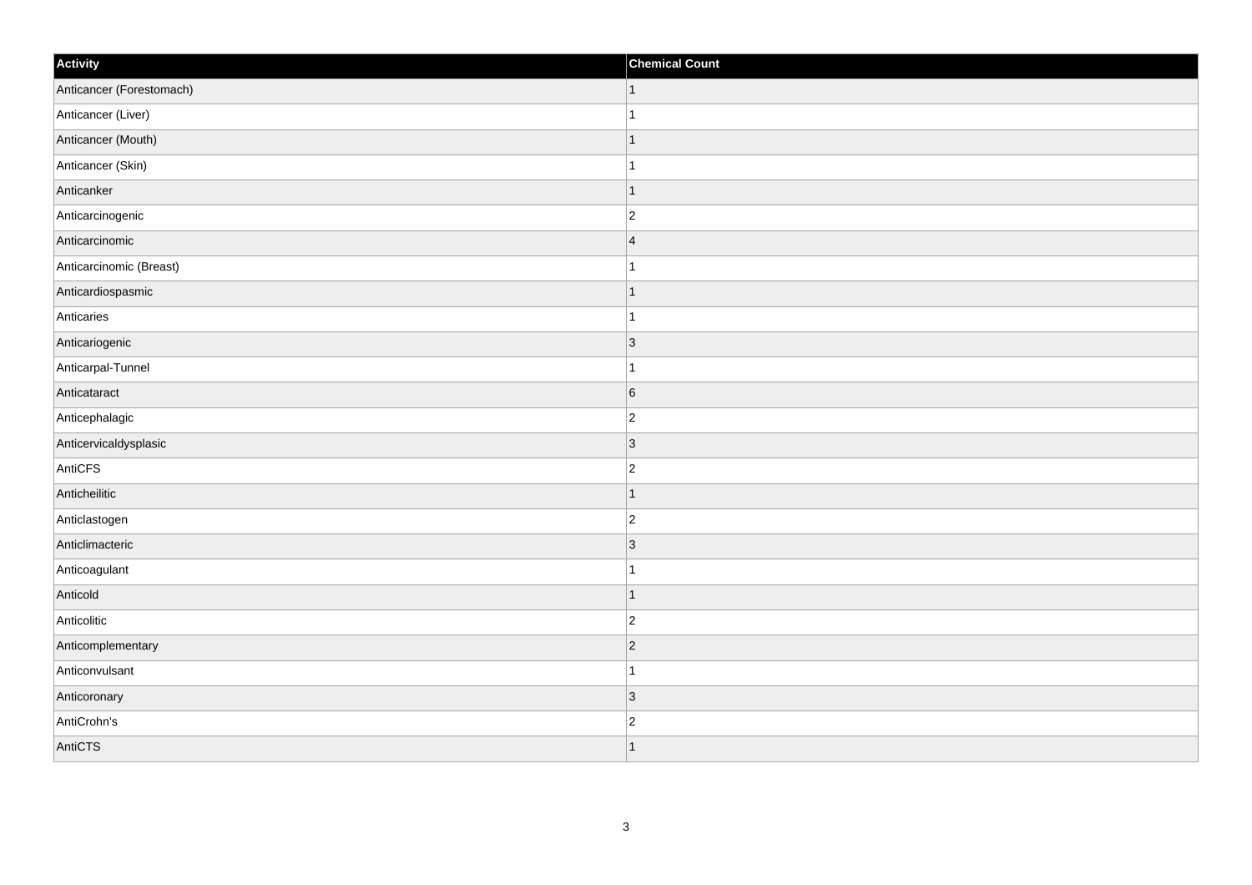| Activity                 | <b>Chemical Count</b> |
|--------------------------|-----------------------|
| Anticancer (Forestomach) | $\vert$ 1             |
| Anticancer (Liver)       | $\mathbf{1}$          |
| Anticancer (Mouth)       | $\mathbf 1$           |
| Anticancer (Skin)        | $\overline{1}$        |
| Anticanker               | $\mathbf 1$           |
| Anticarcinogenic         | $\overline{2}$        |
| Anticarcinomic           | $\overline{4}$        |
| Anticarcinomic (Breast)  | $\mathbf{1}$          |
| Anticardiospasmic        | $\mathbf 1$           |
| Anticaries               | $\mathbf{1}$          |
| Anticariogenic           | 3                     |
| Anticarpal-Tunnel        |                       |
| Anticataract             | $6\phantom{a}$        |
| Anticephalagic           | $\overline{2}$        |
| Anticervicaldysplasic    | 3                     |
| AntiCFS                  | $ 2\rangle$           |
| Anticheilitic            | $\mathbf 1$           |
| Anticlastogen            | $\overline{c}$        |
| Anticlimacteric          | $ 3\rangle$           |
| Anticoagulant            | 1                     |
| Anticold                 | $\overline{1}$        |
| Anticolitic              | $ 2\rangle$           |
| Anticomplementary        | $ 2\rangle$           |
| Anticonvulsant           | $\mathbf 1$           |
| Anticoronary             | $ 3\rangle$           |
| AntiCrohn's              | $\overline{c}$        |
| AntiCTS                  | $\overline{1}$        |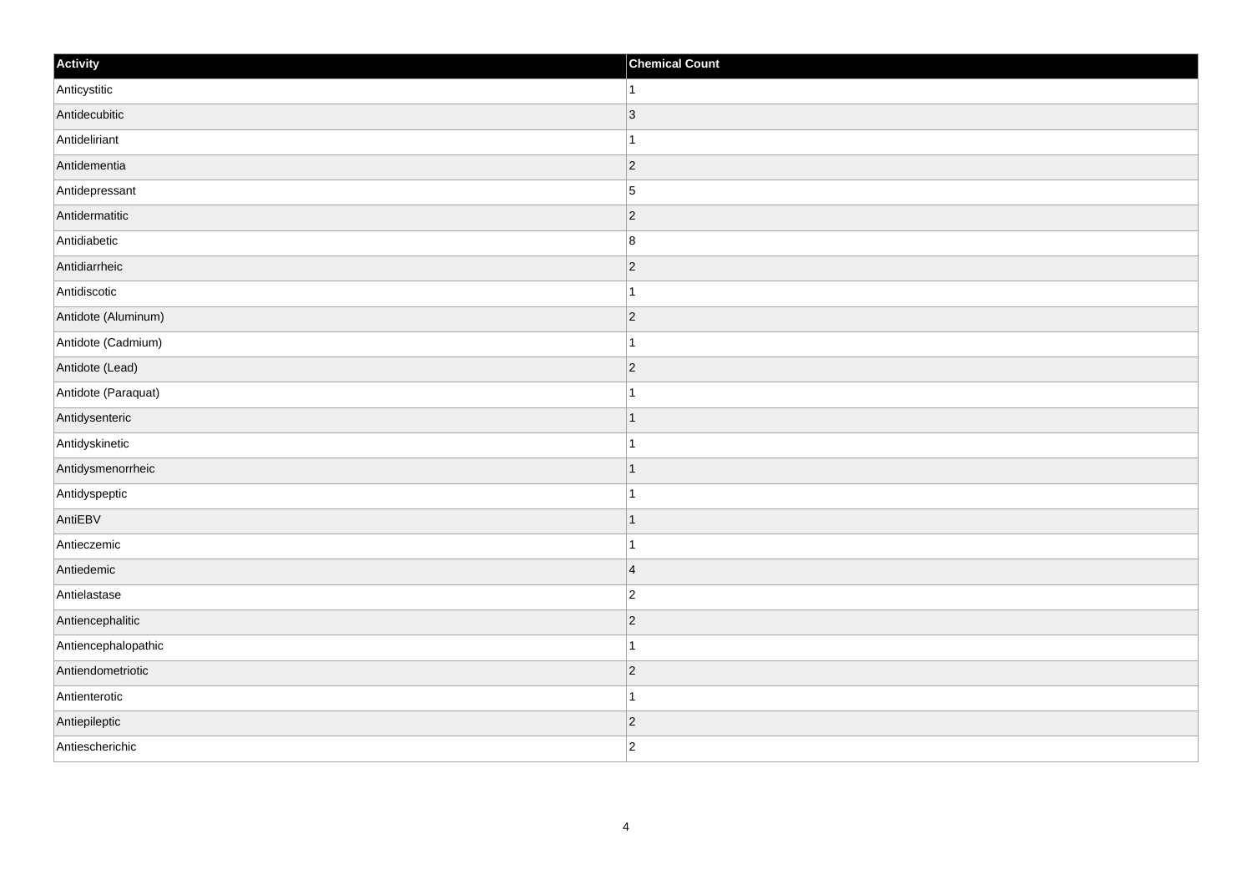| Activity            | <b>Chemical Count</b> |
|---------------------|-----------------------|
| Anticystitic        | $\vert$ 1             |
| Antidecubitic       | $\vert$ 3             |
| Antideliriant       | $\mathbf{1}$          |
| Antidementia        | $ 2\rangle$           |
| Antidepressant      | $\overline{5}$        |
| Antidermatitic      | $ 2\rangle$           |
| Antidiabetic        | 8                     |
| Antidiarrheic       | $\overline{2}$        |
| Antidiscotic        | $\mathbf{1}$          |
| Antidote (Aluminum) | $ 2\rangle$           |
| Antidote (Cadmium)  | $\vert$ 1             |
| Antidote (Lead)     | $ 2\rangle$           |
| Antidote (Paraquat) | $\mathbf{1}$          |
| Antidysenteric      | $\mathbf{1}$          |
| Antidyskinetic      | $\mathbf{1}$          |
| Antidysmenorrheic   | $\vert$ 1             |
| Antidyspeptic       | $\vert$ 1             |
| AntiEBV             | $\vert$ 1             |
| Antieczemic         | $\mathbf{1}$          |
| Antiedemic          | $\vert 4 \vert$       |
| Antielastase        | $ 2\rangle$           |
| Antiencephalitic    | $ 2\rangle$           |
| Antiencephalopathic | $\mathbf{1}$          |
| Antiendometriotic   | $\vert$ 2             |
| Antienterotic       | $\vert$ 1             |
| Antiepileptic       | $\vert$ 2             |
| Antiescherichic     | $ 2\rangle$           |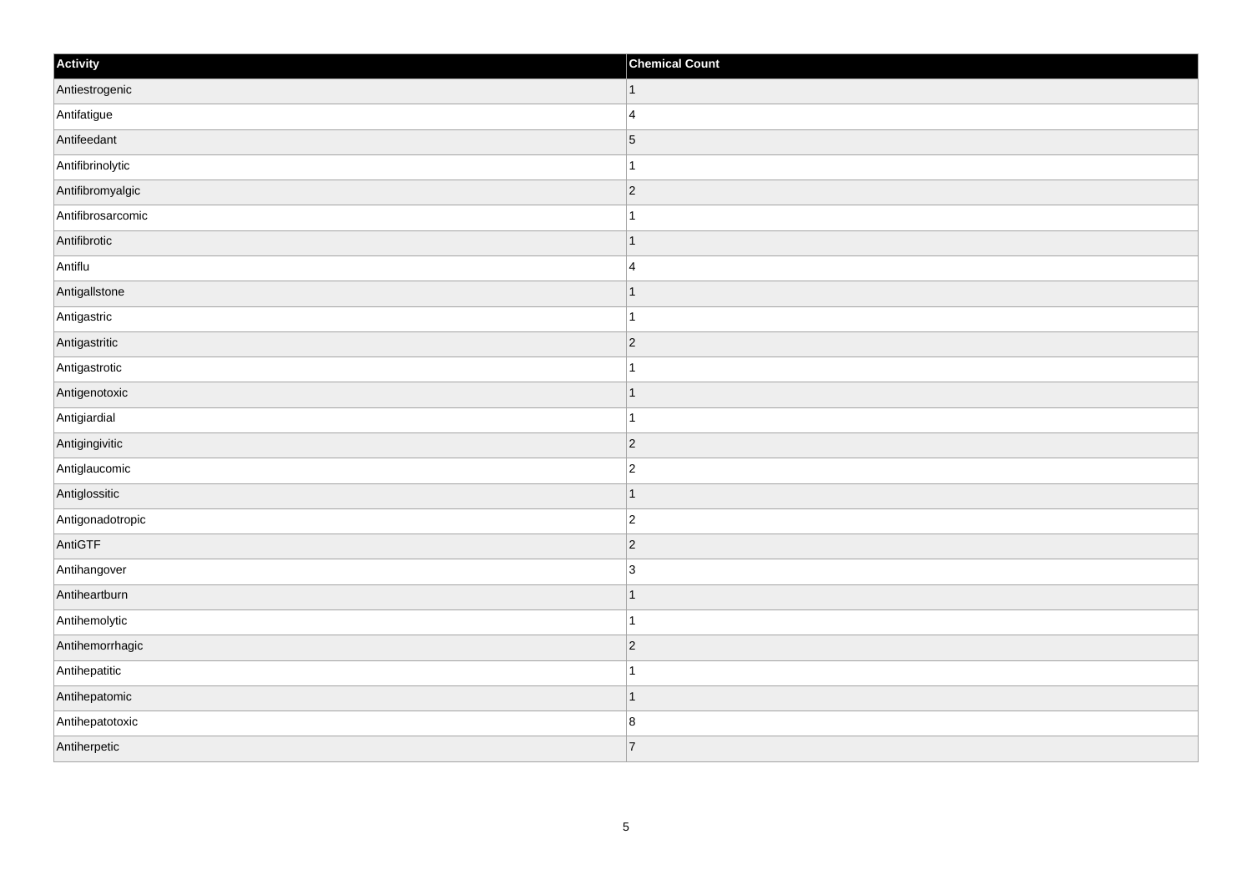| Activity          | <b>Chemical Count</b>    |
|-------------------|--------------------------|
| Antiestrogenic    | $\vert$ 1                |
| Antifatigue       | $\overline{4}$           |
| Antifeedant       | $\overline{5}$           |
| Antifibrinolytic  |                          |
| Antifibromyalgic  | $\overline{2}$           |
| Antifibrosarcomic |                          |
| Antifibrotic      | -1                       |
| Antiflu           | $\overline{4}$           |
| AntigalIstone     |                          |
| Antigastric       |                          |
| Antigastritic     | $\overline{2}$           |
| Antigastrotic     |                          |
| Antigenotoxic     | 1                        |
| Antigiardial      | -1                       |
| Antigingivitic    | 2                        |
| Antiglaucomic     | $\overline{2}$           |
| Antiglossitic     | 1                        |
| Antigonadotropic  | $\overline{2}$           |
| AntiGTF           | $\vert$ 2                |
| Antihangover      | $\overline{3}$           |
| Antiheartburn     |                          |
| Antihemolytic     | 1                        |
| Antihemorrhagic   | $\vert$ 2                |
| Antihepatitic     |                          |
| Antihepatomic     | $\overline{\phantom{a}}$ |
| Antihepatotoxic   | 8                        |
| Antiherpetic      | $\overline{7}$           |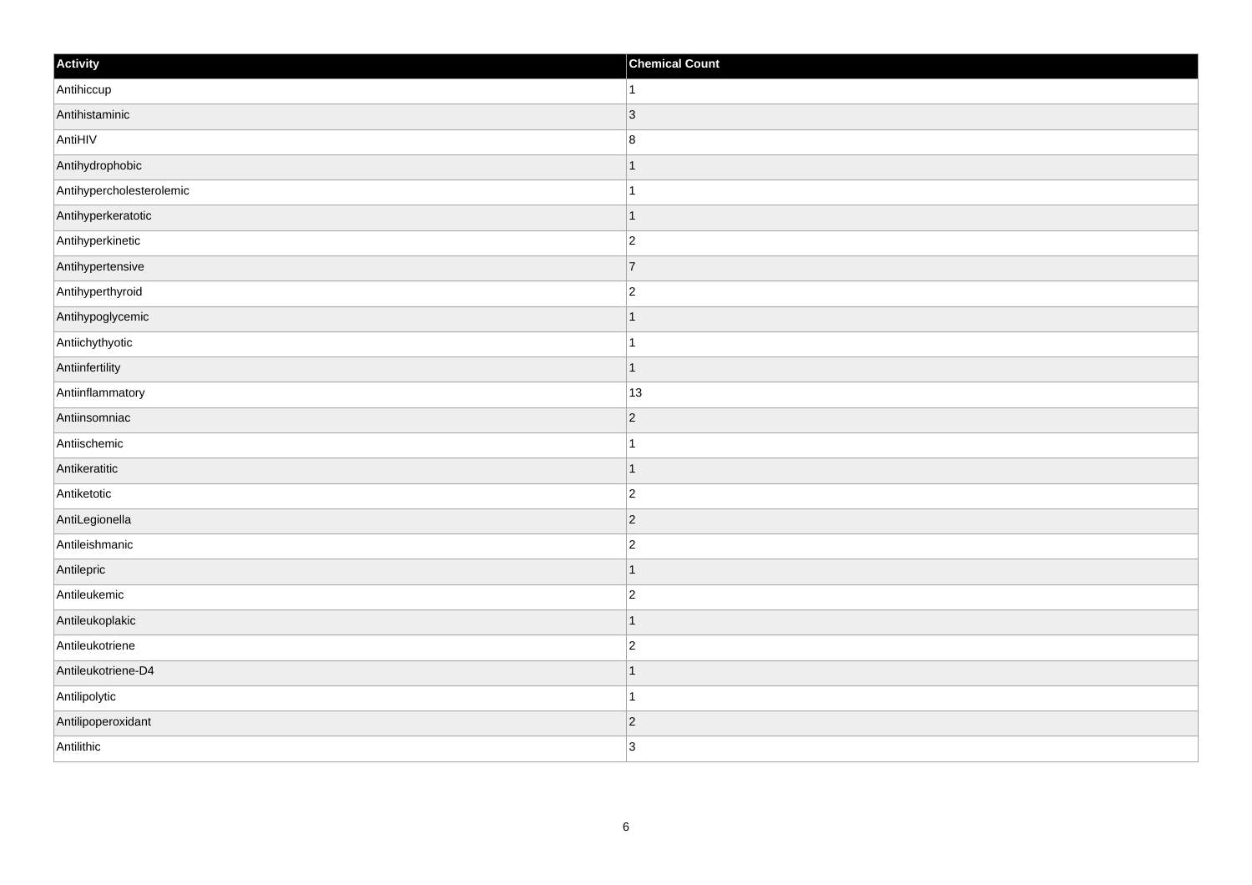| Activity                 | <b>Chemical Count</b>    |
|--------------------------|--------------------------|
| Antihiccup               | 1                        |
| Antihistaminic           | $\vert$ 3                |
| AntiHIV                  | 8                        |
| Antihydrophobic          | -1                       |
| Antihypercholesterolemic | 1                        |
| Antihyperkeratotic       |                          |
| Antihyperkinetic         | $\overline{c}$           |
| Antihypertensive         | $\overline{7}$           |
| Antihyperthyroid         | $\overline{2}$           |
| Antihypoglycemic         | 1                        |
| Antiichythyotic          | 1                        |
| Antiinfertility          | $\overline{\phantom{a}}$ |
| Antiinflammatory         | 13                       |
| Antiinsomniac            | $\overline{2}$           |
| Antiischemic             |                          |
| Antikeratitic            |                          |
| Antiketotic              | $\overline{2}$           |
| AntiLegionella           | $\overline{2}$           |
| Antileishmanic           | $\overline{c}$           |
| Antilepric               | -1                       |
| Antileukemic             | $\overline{2}$           |
| Antileukoplakic          |                          |
| Antileukotriene          | $\overline{c}$           |
| Antileukotriene-D4       |                          |
| Antilipolytic            | $\overline{1}$           |
| Antilipoperoxidant       | $\vert$ 2                |
| Antilithic               | $\overline{3}$           |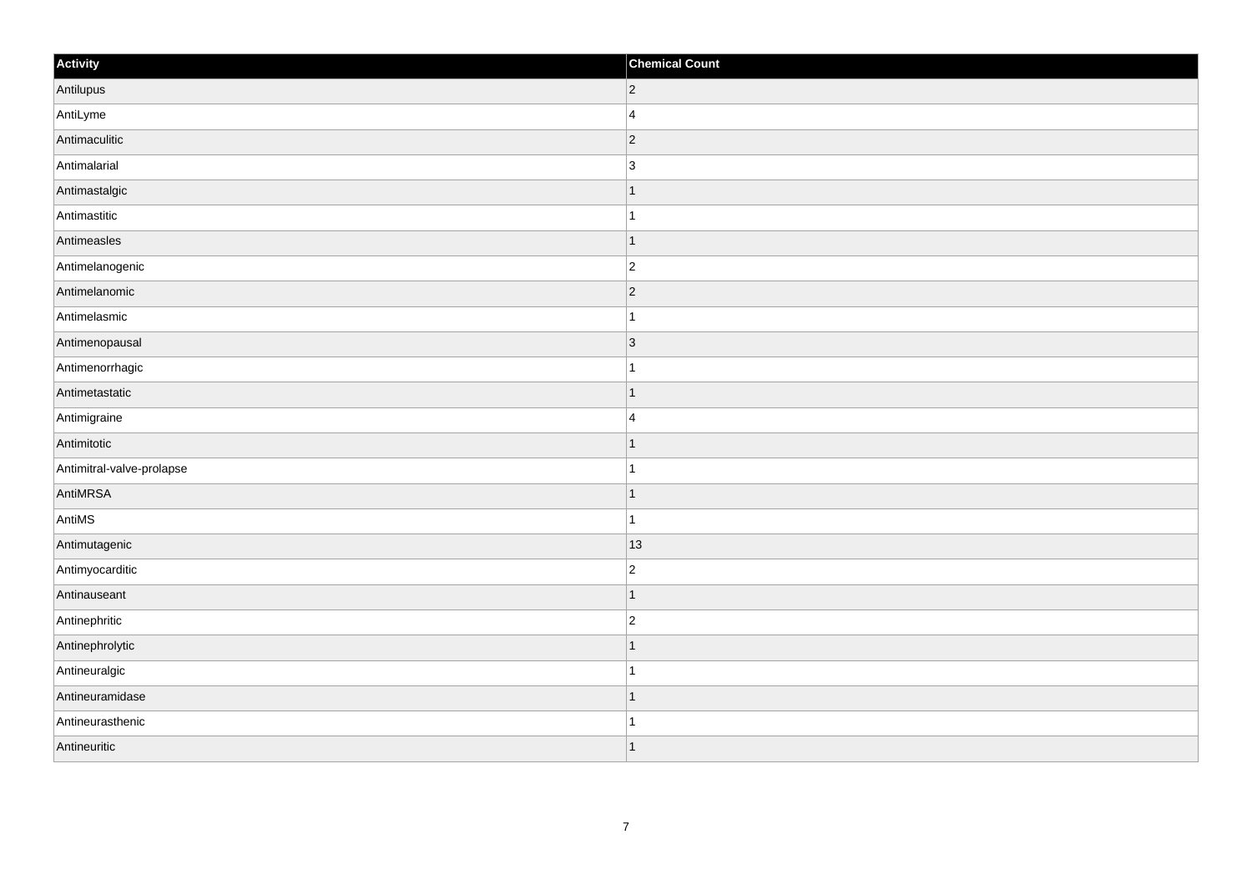| Activity                  | <b>Chemical Count</b>   |
|---------------------------|-------------------------|
| Antilupus                 | $ 2\rangle$             |
| AntiLyme                  | $\overline{4}$          |
| Antimaculitic             | 2                       |
| Antimalarial              | $\overline{3}$          |
| Antimastalgic             | $\mathbf 1$             |
| Antimastitic              | 1                       |
| Antimeasles               | $\vert$ 1               |
| Antimelanogenic           | $\overline{2}$          |
| Antimelanomic             | 2                       |
| Antimelasmic              | $\mathbf{1}$            |
| Antimenopausal            | $ 3\rangle$             |
| Antimenorrhagic           |                         |
| Antimetastatic            | $\vert$ 1               |
| Antimigraine              | $\overline{\mathbf{4}}$ |
| Antimitotic               | $\mathbf 1$             |
| Antimitral-valve-prolapse | $\mathbf{1}$            |
| AntiMRSA                  | $\mathbf{1}$            |
| AntiMS                    | $\mathbf{1}$            |
| Antimutagenic             | $ 13\rangle$            |
| Antimyocarditic           | $\overline{c}$          |
| Antinauseant              | $\vert$ 1               |
| Antinephritic             | $ 2\rangle$             |
| Antinephrolytic           | $\mathbf{1}$            |
| Antineuralgic             | $\mathbf{1}$            |
| Antineuramidase           | $\vert$ 1               |
| Antineurasthenic          | 1                       |
| Antineuritic              | $\vert$ 1               |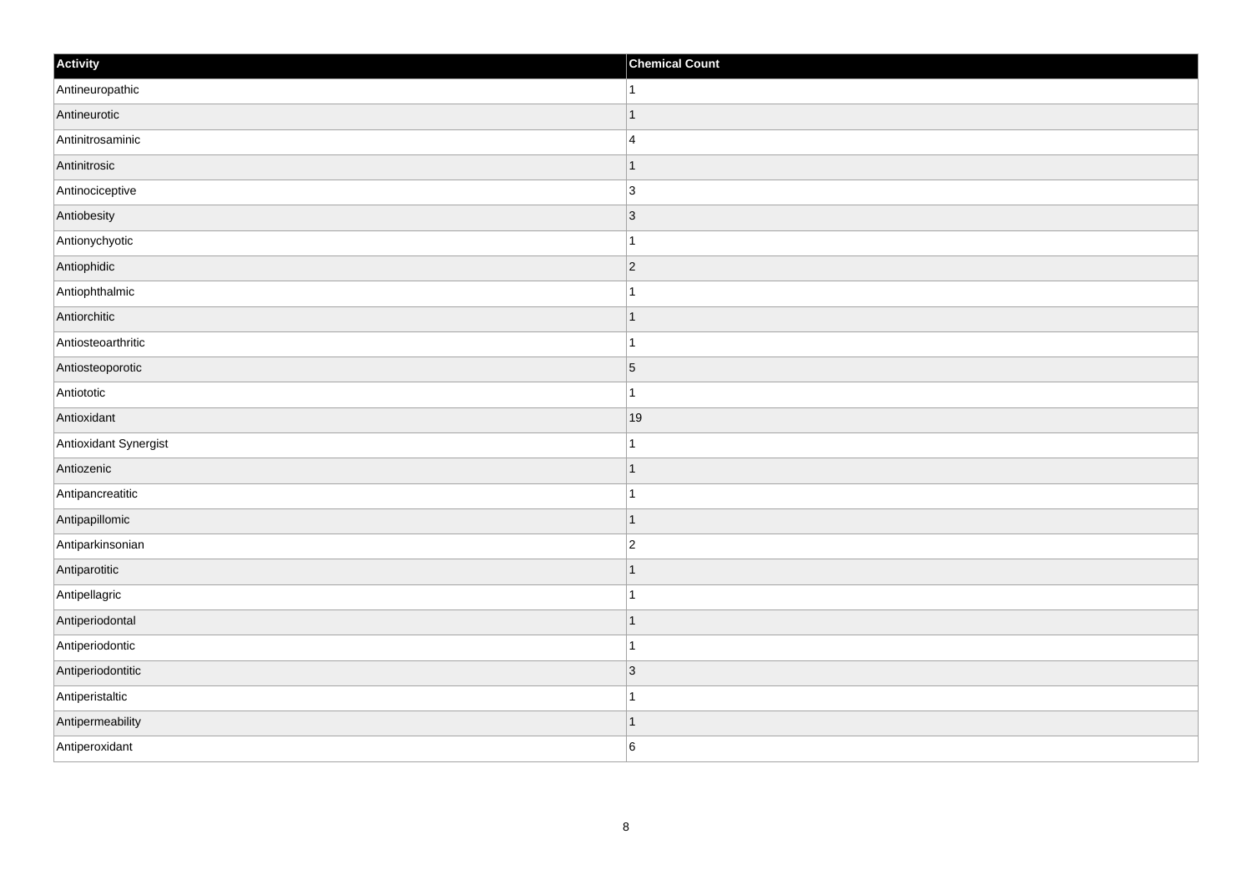| Activity              | <b>Chemical Count</b> |
|-----------------------|-----------------------|
| Antineuropathic       | $\vert$ 1             |
| Antineurotic          | $\overline{1}$        |
| Antinitrosaminic      | $\overline{4}$        |
| Antinitrosic          | $\overline{1}$        |
| Antinociceptive       | $\overline{3}$        |
| Antiobesity           | 3                     |
| Antionychyotic        | 1                     |
| Antiophidic           | $\overline{2}$        |
| Antiophthalmic        |                       |
| Antiorchitic          | $\vert$ 1             |
| Antiosteoarthritic    | $\mathbf{1}$          |
| Antiosteoporotic      | $\vert 5 \vert$       |
| Antiototic            | $\mathbf{1}$          |
| Antioxidant           | 19                    |
| Antioxidant Synergist |                       |
| Antiozenic            | $\vert$ 1             |
| Antipancreatitic      | $\mathbf 1$           |
| Antipapillomic        | $\vert$ 1             |
| Antiparkinsonian      | $\overline{c}$        |
| Antiparotitic         | 1                     |
| Antipellagric         | $\overline{1}$        |
| Antiperiodontal       | $\vert$ 1             |
| Antiperiodontic       | $\mathbf 1$           |
| Antiperiodontitic     | 3                     |
| Antiperistaltic       | $\mathbf{1}$          |
| Antipermeability      | $\overline{1}$        |
| Antiperoxidant        | 6                     |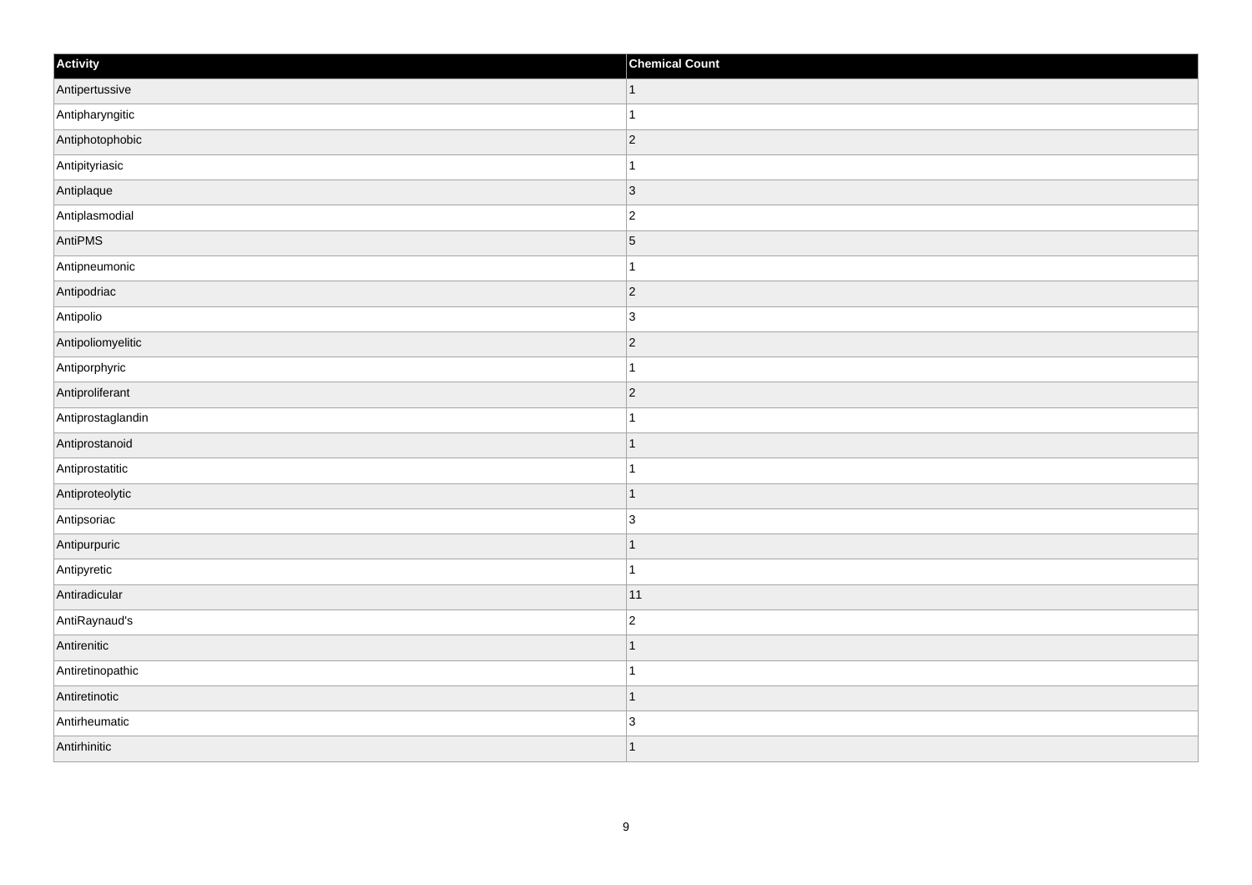| Activity          | <b>Chemical Count</b> |
|-------------------|-----------------------|
| Antipertussive    | $\vert$ 1             |
| Antipharyngitic   | $\mathbf{1}$          |
| Antiphotophobic   | 2                     |
| Antipityriasic    | $\mathbf 1$           |
| Antiplaque        | $ 3\rangle$           |
| Antiplasmodial    | $ 2\rangle$           |
| AntiPMS           | $\vert$ 5             |
| Antipneumonic     | $\mathbf{1}$          |
| Antipodriac       | 2                     |
| Antipolio         | $ 3\rangle$           |
| Antipoliomyelitic | $\overline{2}$        |
| Antiporphyric     | 1                     |
| Antiproliferant   | $ 2\rangle$           |
| Antiprostaglandin | $\mathbf 1$           |
| Antiprostanoid    | $\overline{1}$        |
| Antiprostatitic   | $\mathbf{1}$          |
| Antiproteolytic   | $\overline{1}$        |
| Antipsoriac       | 3                     |
| Antipurpuric      | $\vert$ 1             |
| Antipyretic       | $\vert$ 1             |
| Antiradicular     | 11                    |
| AntiRaynaud's     | $\overline{2}$        |
| Antirenitic       | $\mathbf{1}$          |
| Antiretinopathic  | $\mathbf{1}$          |
| Antiretinotic     | $\mathbf{1}$          |
| Antirheumatic     | $\overline{3}$        |
| Antirhinitic      | 1                     |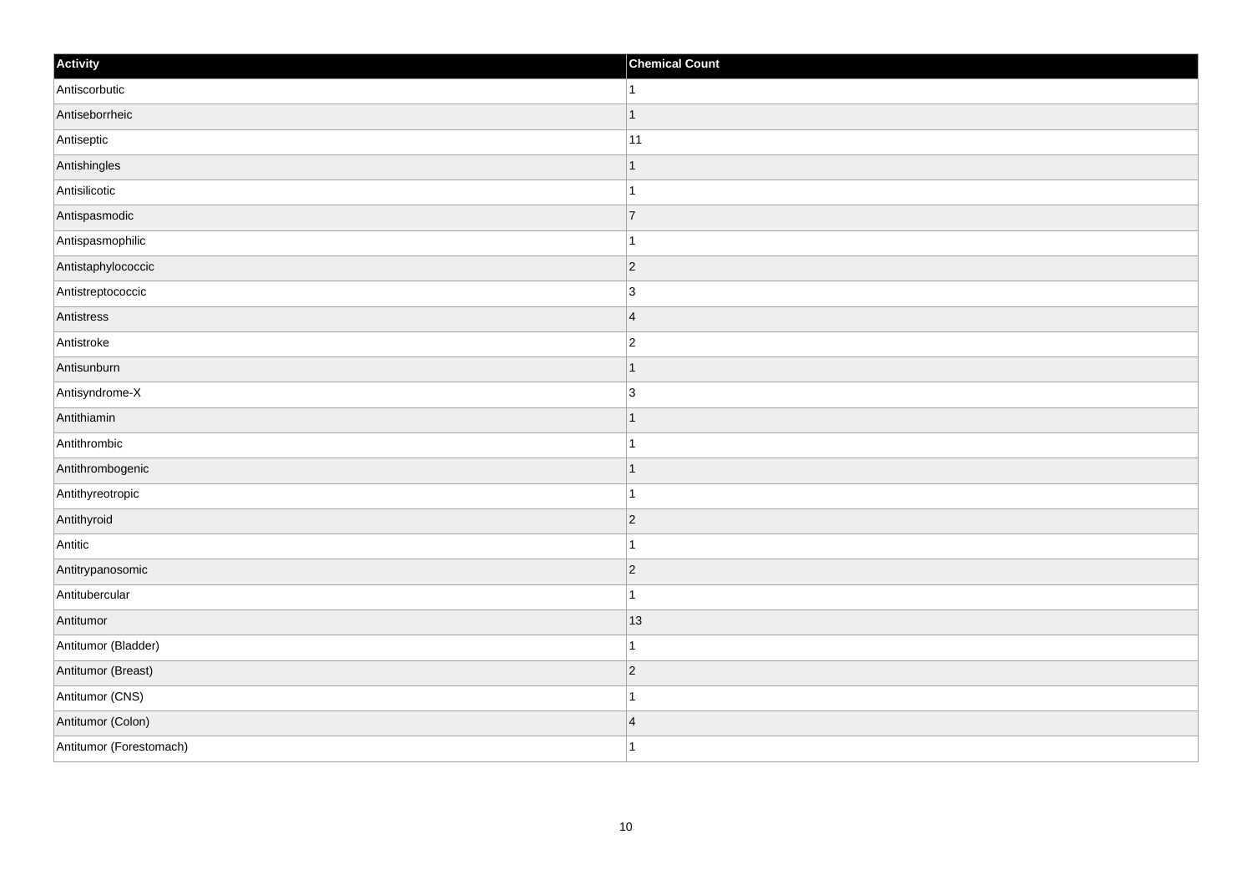| Activity                | <b>Chemical Count</b> |
|-------------------------|-----------------------|
| Antiscorbutic           | $\vert$ 1             |
| Antiseborrheic          | $\mathbf{1}$          |
| Antiseptic              | 11                    |
| Antishingles            | $\overline{1}$        |
| Antisilicotic           | $\overline{1}$        |
| Antispasmodic           | 7                     |
| Antispasmophilic        | $\mathbf{1}$          |
| Antistaphylococcic      | $\overline{2}$        |
| Antistreptococcic       | 3                     |
| Antistress              | $\overline{4}$        |
| Antistroke              | $\overline{c}$        |
| Antisunburn             | $\mathbf 1$           |
| Antisyndrome-X          | $\overline{3}$        |
| Antithiamin             | 1                     |
| Antithrombic            |                       |
| Antithrombogenic        | $\vert$ 1             |
| Antithyreotropic        | $\mathbf{1}$          |
| Antithyroid             | $ 2\rangle$           |
| Antitic                 | $\mathbf{1}$          |
| Antitrypanosomic        | $ 2\rangle$           |
| Antitubercular          | $\mathbf{1}$          |
| Antitumor               | 13                    |
| Antitumor (Bladder)     | $\mathbf 1$           |
| Antitumor (Breast)      | $ 2\rangle$           |
| Antitumor (CNS)         | 1                     |
| Antitumor (Colon)       | $\overline{4}$        |
| Antitumor (Forestomach) | $\mathbf{1}$          |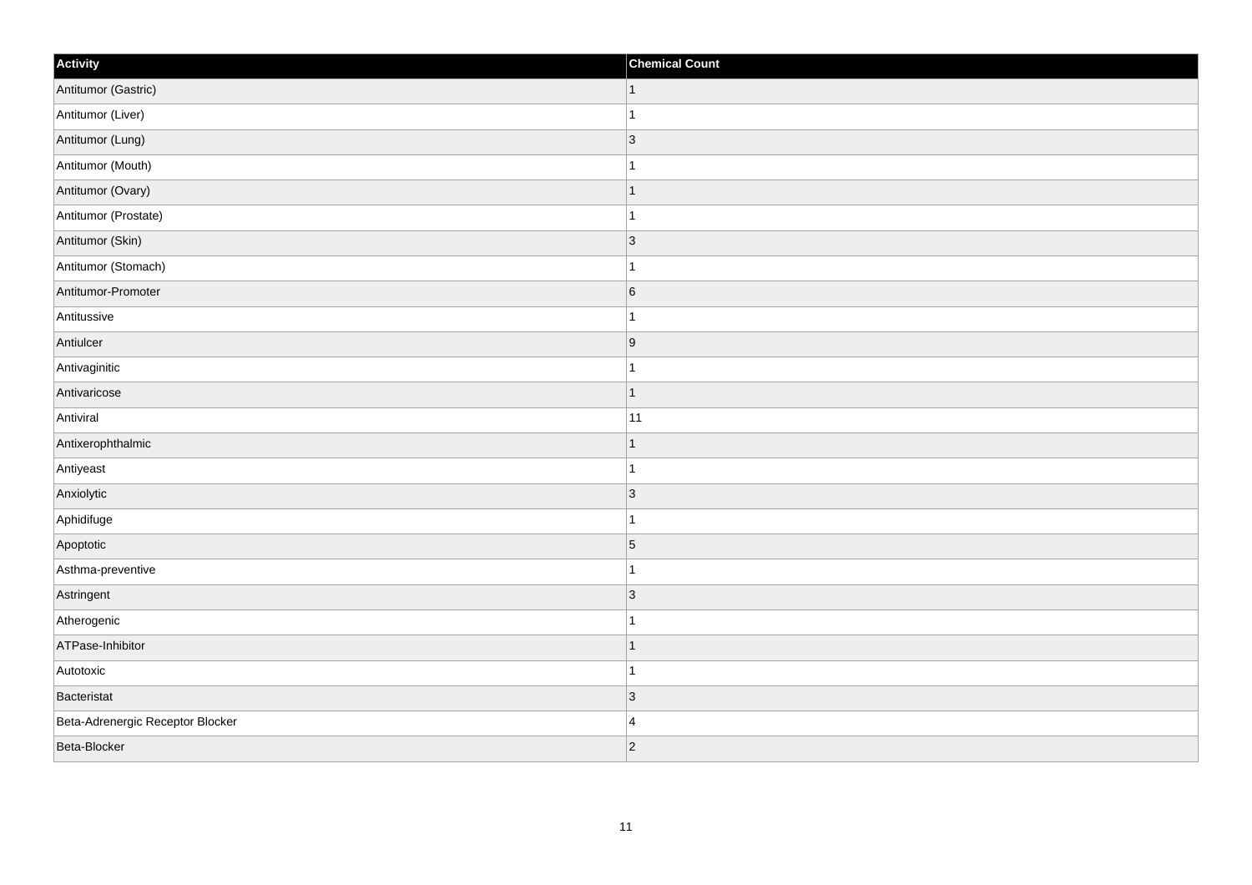| Activity                         | <b>Chemical Count</b>   |
|----------------------------------|-------------------------|
| Antitumor (Gastric)              | $\mathbf{1}$            |
| Antitumor (Liver)                | $\overline{ }$          |
| Antitumor (Lung)                 | $\vert$ 3               |
| Antitumor (Mouth)                | $\overline{\mathbf{A}}$ |
| Antitumor (Ovary)                | $\overline{1}$          |
| Antitumor (Prostate)             |                         |
| Antitumor (Skin)                 | $\vert$ 3               |
| Antitumor (Stomach)              | $\overline{1}$          |
| Antitumor-Promoter               | $6\overline{6}$         |
| Antitussive                      | $\overline{1}$          |
| Antiulcer                        | 9                       |
| Antivaginitic                    |                         |
| Antivaricose                     | $\mathbf{1}$            |
| Antiviral                        | 11                      |
| Antixerophthalmic                | $\mathbf{1}$            |
| Antiyeast                        | $\overline{1}$          |
| Anxiolytic                       | $ 3\rangle$             |
| Aphidifuge                       | $\overline{\mathbf{A}}$ |
| Apoptotic                        | $\overline{5}$          |
| Asthma-preventive                | 1                       |
| Astringent                       | $\vert$ 3               |
| Atherogenic                      | $\overline{1}$          |
| ATPase-Inhibitor                 | $\mathbf{1}$            |
| Autotoxic                        | $\overline{1}$          |
| Bacteristat                      | $ 3\rangle$             |
| Beta-Adrenergic Receptor Blocker | $\overline{4}$          |
| Beta-Blocker                     | $ 2\rangle$             |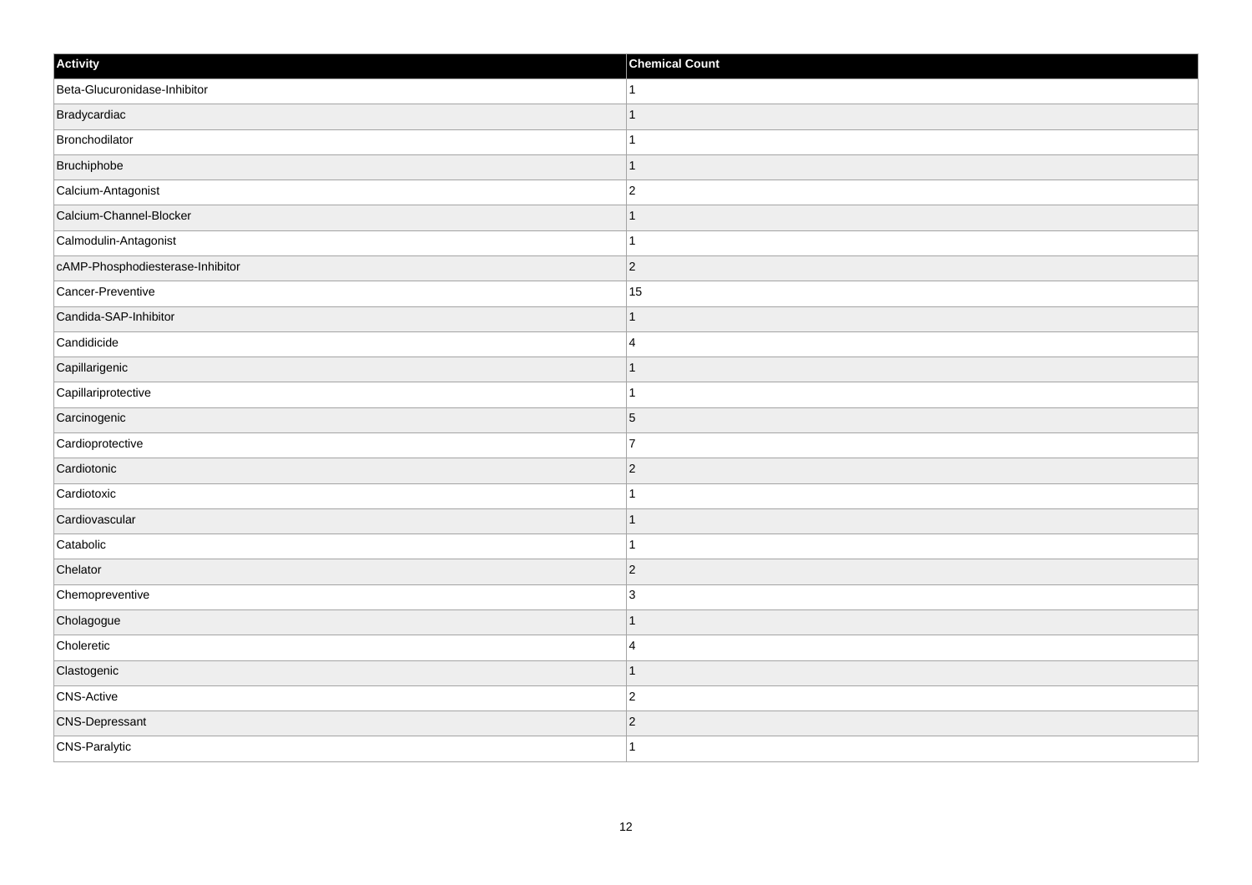| Activity                         | <b>Chemical Count</b> |
|----------------------------------|-----------------------|
| Beta-Glucuronidase-Inhibitor     | $\mathbf{1}$          |
| Bradycardiac                     |                       |
| Bronchodilator                   |                       |
| Bruchiphobe                      | $\mathbf 1$           |
| Calcium-Antagonist               | $\overline{2}$        |
| Calcium-Channel-Blocker          |                       |
| Calmodulin-Antagonist            | 1                     |
| cAMP-Phosphodiesterase-Inhibitor | $\overline{2}$        |
| Cancer-Preventive                | 15                    |
| Candida-SAP-Inhibitor            | $\mathbf{1}$          |
| Candidicide                      | $\overline{4}$        |
| Capillarigenic                   |                       |
| Capillariprotective              | 1                     |
| Carcinogenic                     | $\overline{5}$        |
| Cardioprotective                 | 7                     |
| Cardiotonic                      | $ 2\rangle$           |
| Cardiotoxic                      | 1                     |
| Cardiovascular                   | $\mathbf 1$           |
| Catabolic                        |                       |
| Chelator                         | $\overline{2}$        |
| Chemopreventive                  | 3                     |
| Cholagogue                       |                       |
| Choleretic                       | $\overline{4}$        |
| Clastogenic                      | $\overline{1}$        |
| CNS-Active                       | $\overline{2}$        |
| <b>CNS-Depressant</b>            | $\overline{2}$        |
| CNS-Paralytic                    | $\mathbf{1}$          |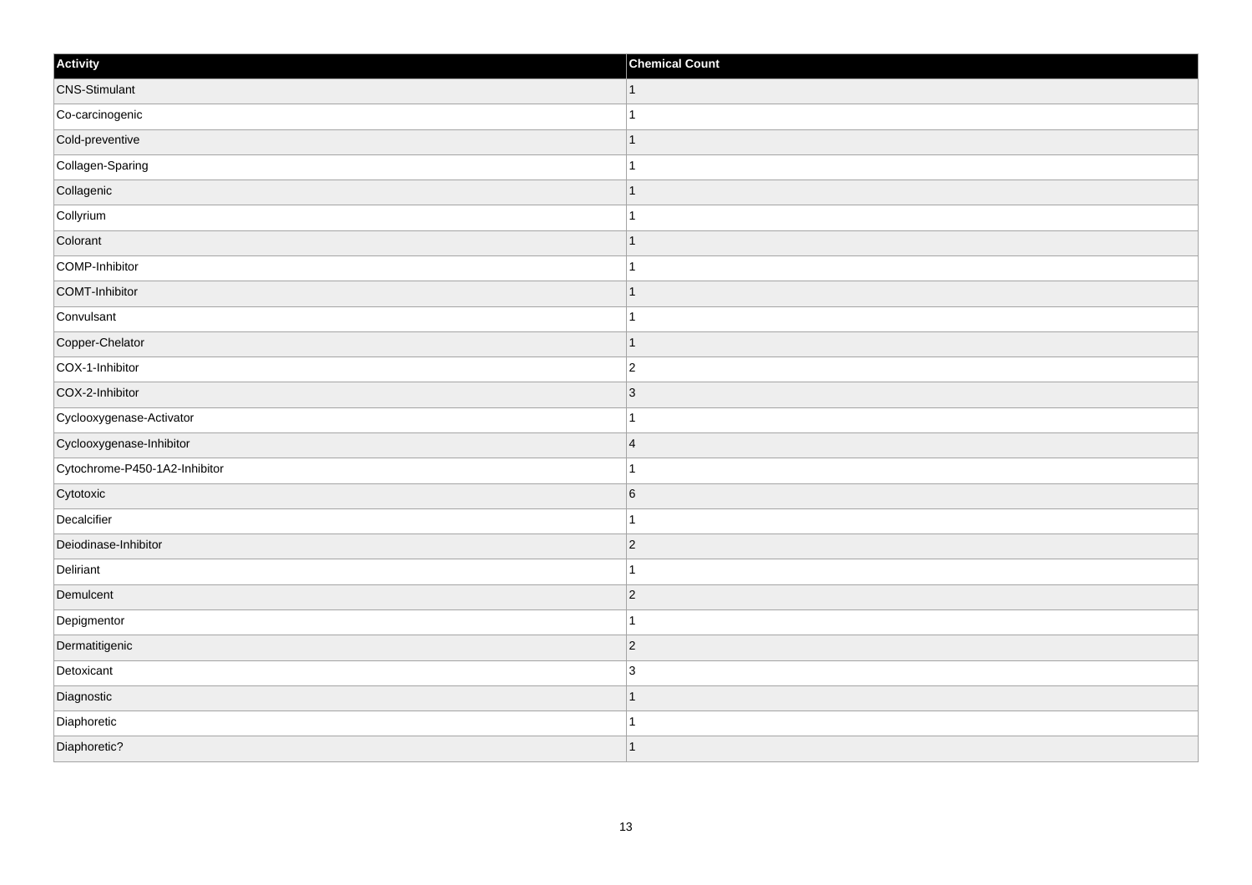| Activity                      | <b>Chemical Count</b> |
|-------------------------------|-----------------------|
| <b>CNS-Stimulant</b>          | $\vert$ 1             |
| Co-carcinogenic               | $\mathbf{1}$          |
| Cold-preventive               | $\mathbf{1}$          |
| Collagen-Sparing              | $\mathbf{1}$          |
| Collagenic                    | $\mathbf{1}$          |
| Collyrium                     | $\mathbf 1$           |
| Colorant                      | $\vert$ 1             |
| COMP-Inhibitor                | $\mathbf{1}$          |
| COMT-Inhibitor                | $\mathbf{1}$          |
| Convulsant                    | $\mathbf{1}$          |
| Copper-Chelator               | $\mathbf{1}$          |
| COX-1-Inhibitor               | $\overline{2}$        |
| COX-2-Inhibitor               | $\vert 3 \vert$       |
| Cyclooxygenase-Activator      | $\mathbf{1}$          |
| Cyclooxygenase-Inhibitor      | $\vert 4$             |
| Cytochrome-P450-1A2-Inhibitor | $\mathbf{1}$          |
| Cytotoxic                     | $6\overline{6}$       |
| Decalcifier                   | $\mathbf{1}$          |
| Deiodinase-Inhibitor          | $ 2\rangle$           |
| Deliriant                     | $\mathbf{1}$          |
| Demulcent                     | $ 2\rangle$           |
| Depigmentor                   | $\mathbf{1}$          |
| Dermatitigenic                | $\overline{2}$        |
| Detoxicant                    | 3                     |
| Diagnostic                    | $\vert$ 1             |
| Diaphoretic                   | $\mathbf{1}$          |
| Diaphoretic?                  | $\vert$ 1             |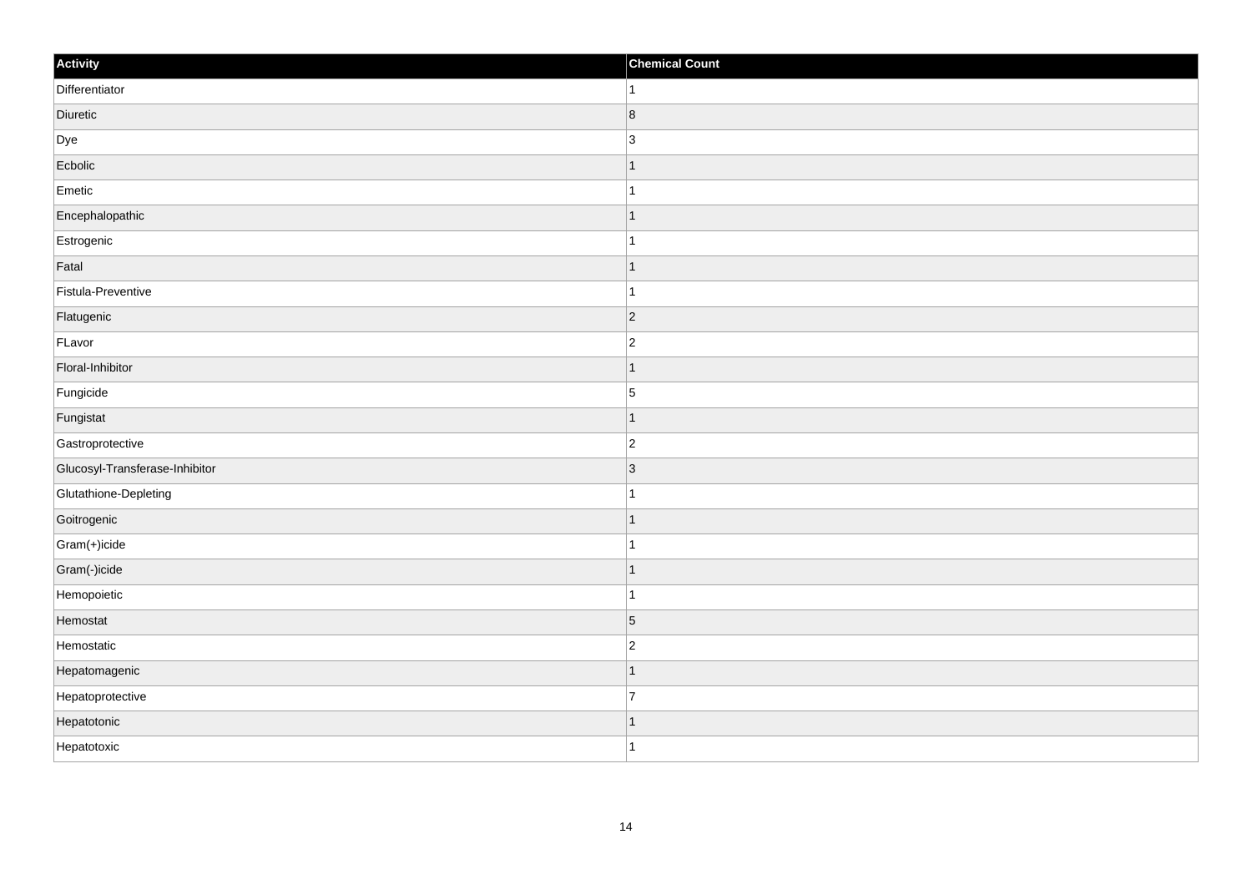| Activity                       | <b>Chemical Count</b> |
|--------------------------------|-----------------------|
| Differentiator                 | $\mathbf{1}$          |
| Diuretic                       | $\vert 8 \vert$       |
| Dye                            | 3                     |
| Ecbolic                        | $\mathbf{1}$          |
| Emetic                         | $\mathbf{1}$          |
| Encephalopathic                | $\overline{1}$        |
| Estrogenic                     | $\mathbf{1}$          |
| Fatal                          | $\overline{1}$        |
| Fistula-Preventive             | $\overline{1}$        |
| Flatugenic                     | 2                     |
| FLavor                         | $\mathbf 2$           |
| Floral-Inhibitor               | $\overline{1}$        |
| Fungicide                      | $\overline{5}$        |
| Fungistat                      | $\overline{1}$        |
| Gastroprotective               | $\overline{2}$        |
| Glucosyl-Transferase-Inhibitor | $ 3\rangle$           |
| Glutathione-Depleting          | $\mathbf{1}$          |
| Goitrogenic                    | $\overline{1}$        |
| Gram(+)icide                   | $\overline{1}$        |
| Gram(-)icide                   | $\mathbf{1}$          |
| Hemopoietic                    | $\mathbf{1}$          |
| Hemostat                       | $\overline{5}$        |
| Hemostatic                     | $\overline{c}$        |
| Hepatomagenic                  | $\overline{1}$        |
| Hepatoprotective               | 7                     |
| Hepatotonic                    | $\mathbf{1}$          |
| Hepatotoxic                    | $\mathbf{1}$          |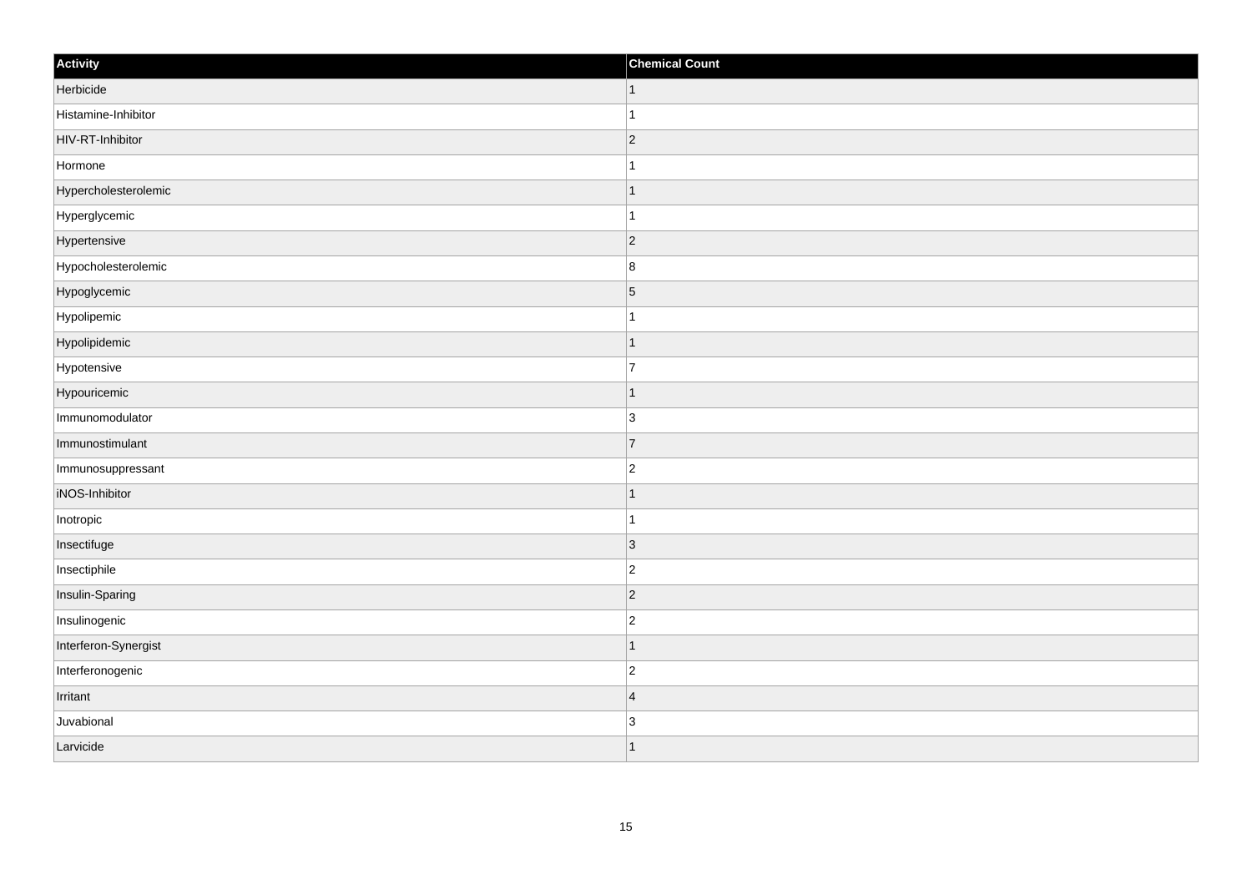| Activity             | <b>Chemical Count</b> |
|----------------------|-----------------------|
| Herbicide            | $\vert$ 1             |
| Histamine-Inhibitor  |                       |
| HIV-RT-Inhibitor     | $\vert$ 2             |
| Hormone              |                       |
| Hypercholesterolemic | 1                     |
| Hyperglycemic        |                       |
| Hypertensive         | $\vert$ 2             |
| Hypocholesterolemic  | $\boldsymbol{8}$      |
| Hypoglycemic         | $\overline{5}$        |
| Hypolipemic          |                       |
| Hypolipidemic        |                       |
| Hypotensive          | 7                     |
| Hypouricemic         | 1                     |
| Immunomodulator      | $\overline{3}$        |
| Immunostimulant      | $\overline{7}$        |
| Immunosuppressant    | $\overline{2}$        |
| iNOS-Inhibitor       |                       |
| Inotropic            | -1                    |
| Insectifuge          | $\vert$ 3             |
| Insectiphile         | $\overline{c}$        |
| Insulin-Sparing      | $\vert$ 2             |
| Insulinogenic        | $\overline{2}$        |
| Interferon-Synergist | -1                    |
| Interferonogenic     | $\overline{2}$        |
| Irritant             | $\overline{4}$        |
| Juvabional           | $\overline{3}$        |
| Larvicide            | 1                     |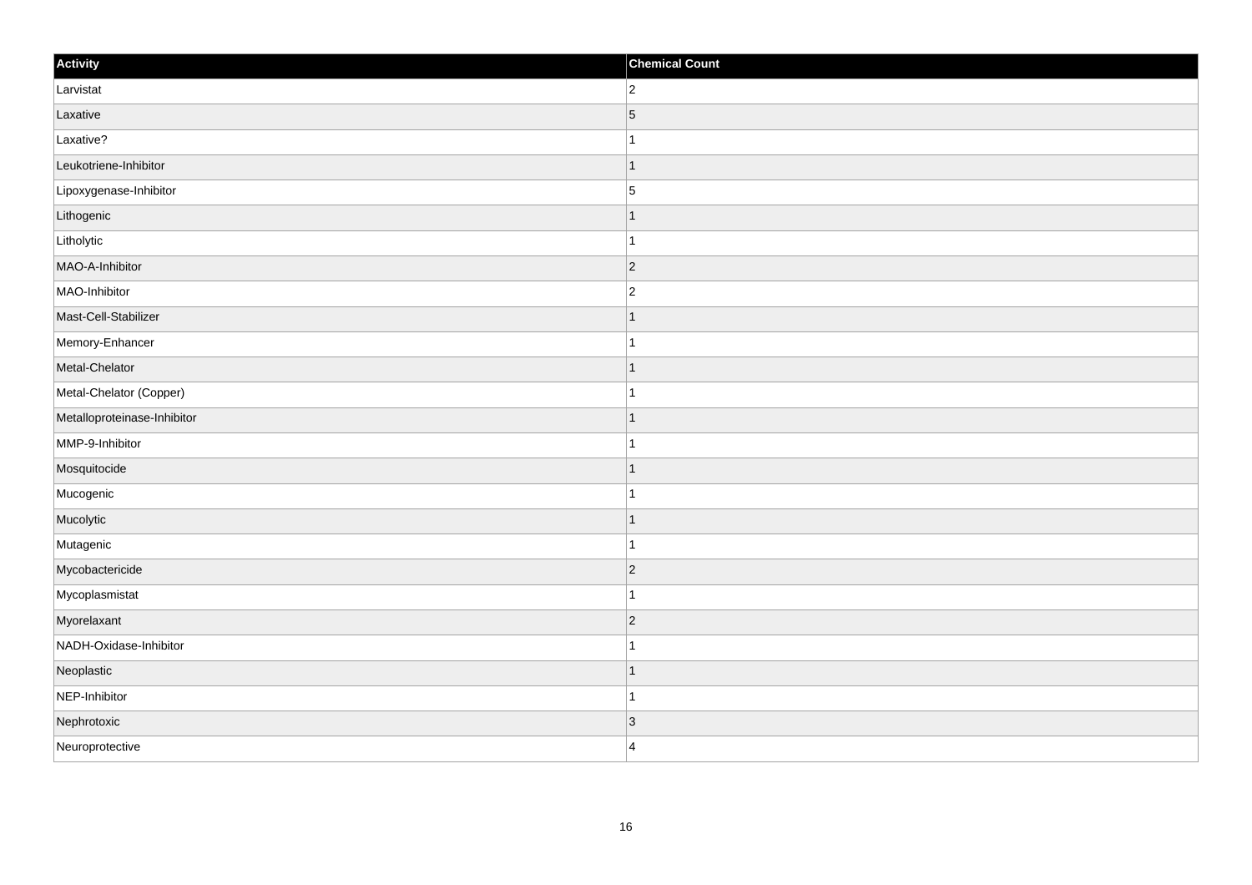| Activity                    | <b>Chemical Count</b> |
|-----------------------------|-----------------------|
| Larvistat                   | $\overline{2}$        |
| Laxative                    | $\overline{5}$        |
| Laxative?                   |                       |
| Leukotriene-Inhibitor       | $\mathbf 1$           |
| Lipoxygenase-Inhibitor      | $\overline{5}$        |
| Lithogenic                  |                       |
| Litholytic                  | 1                     |
| MAO-A-Inhibitor             | $\overline{2}$        |
| MAO-Inhibitor               | $\overline{2}$        |
| Mast-Cell-Stabilizer        | $\mathbf{1}$          |
| Memory-Enhancer             | $\mathbf 1$           |
| Metal-Chelator              |                       |
| Metal-Chelator (Copper)     | 1                     |
| Metalloproteinase-Inhibitor | -1                    |
| MMP-9-Inhibitor             |                       |
| Mosquitocide                | $\mathbf{1}$          |
| Mucogenic                   | $\mathbf 1$           |
| Mucolytic                   | $\mathbf 1$           |
| Mutagenic                   | 1                     |
| Mycobactericide             | $ 2\rangle$           |
| Mycoplasmistat              | $\overline{1}$        |
| Myorelaxant                 | $ 2\rangle$           |
| NADH-Oxidase-Inhibitor      |                       |
| Neoplastic                  | $\overline{1}$        |
| NEP-Inhibitor               | $\mathbf{1}$          |
| Nephrotoxic                 | 3                     |
| Neuroprotective             | $\overline{4}$        |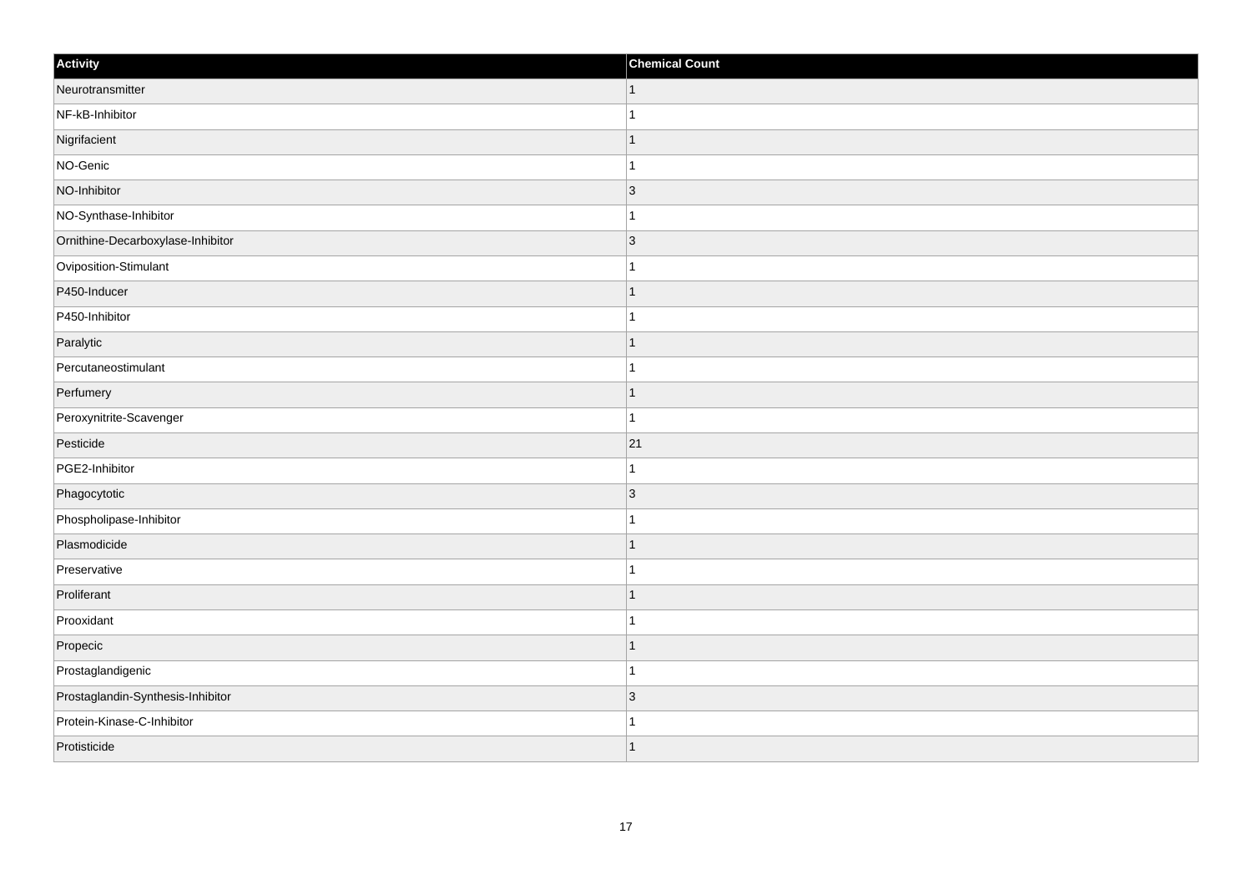| Activity                          | <b>Chemical Count</b> |
|-----------------------------------|-----------------------|
| Neurotransmitter                  | $\vert$ 1             |
| NF-kB-Inhibitor                   |                       |
| Nigrifacient                      |                       |
| NO-Genic                          |                       |
| NO-Inhibitor                      | $\overline{3}$        |
| NO-Synthase-Inhibitor             |                       |
| Ornithine-Decarboxylase-Inhibitor | $ 3\rangle$           |
| Oviposition-Stimulant             |                       |
| P450-Inducer                      |                       |
| P450-Inhibitor                    |                       |
| Paralytic                         |                       |
| Percutaneostimulant               |                       |
| Perfumery                         | -1                    |
| Peroxynitrite-Scavenger           | 1                     |
| Pesticide                         | 21                    |
| PGE2-Inhibitor                    |                       |
| Phagocytotic                      | $\vert$ 3             |
| Phospholipase-Inhibitor           |                       |
| Plasmodicide                      | 1                     |
| Preservative                      |                       |
| Proliferant                       |                       |
| Prooxidant                        |                       |
| Propecic                          |                       |
| Prostaglandigenic                 |                       |
| Prostaglandin-Synthesis-Inhibitor | 3                     |
| Protein-Kinase-C-Inhibitor        |                       |
| Protisticide                      |                       |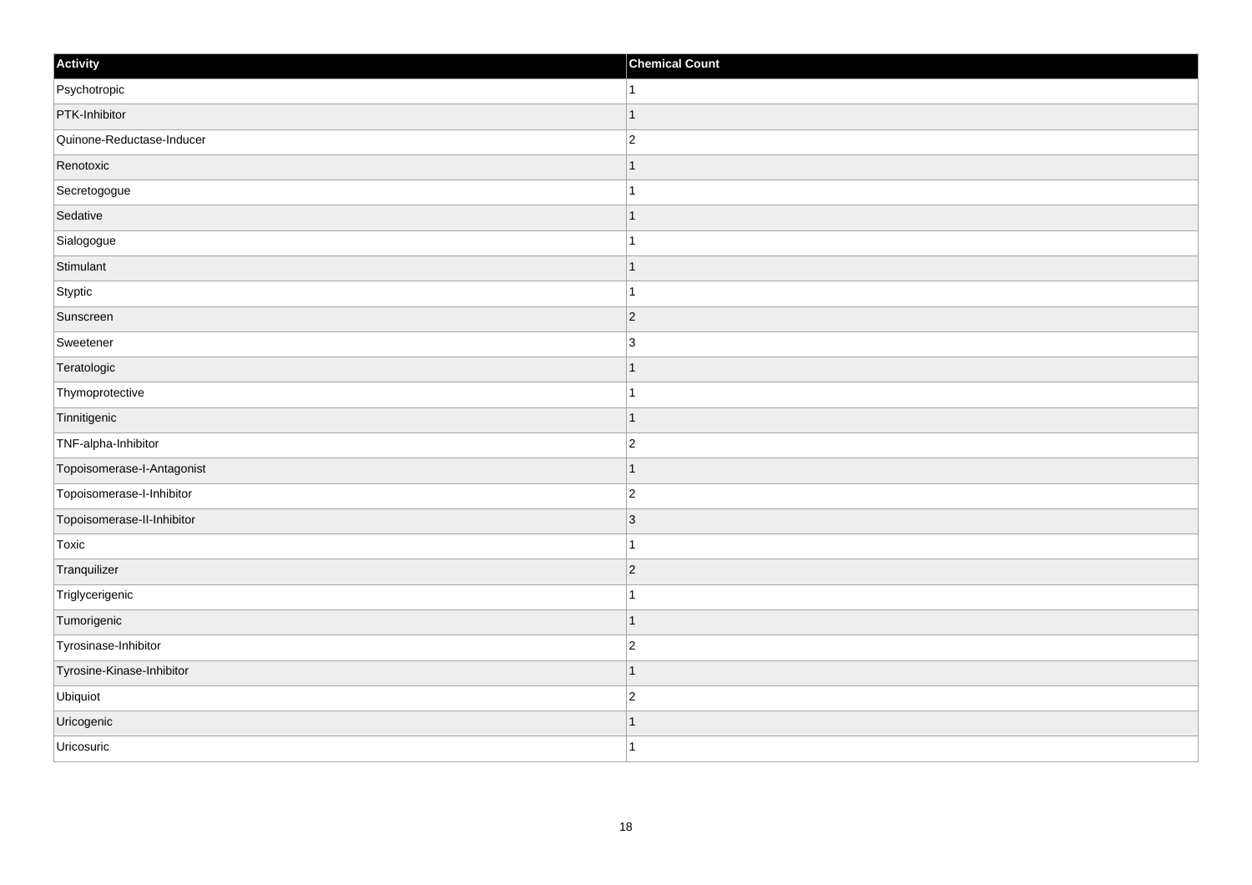| Activity                   | <b>Chemical Count</b> |
|----------------------------|-----------------------|
| Psychotropic               | $\vert$ 1             |
| PTK-Inhibitor              | $\mathbf{1}$          |
| Quinone-Reductase-Inducer  | $\overline{2}$        |
| Renotoxic                  | $\vert$ 1             |
| Secretogogue               | $\vert$ 1             |
| Sedative                   | $\mathbf{1}$          |
| Sialogogue                 | $\mathbf{1}$          |
| Stimulant                  | $\mathbf{1}$          |
| Styptic                    | $\mathbf{1}$          |
| Sunscreen                  | $ 2\rangle$           |
| Sweetener                  | $\vert$ 3             |
| Teratologic                | $\mathbf{1}$          |
| Thymoprotective            | $\mathbf{1}$          |
| Tinnitigenic               | $\mathbf{1}$          |
| TNF-alpha-Inhibitor        | $ 2\rangle$           |
| Topoisomerase-I-Antagonist | $\vert$ 1             |
| Topoisomerase-I-Inhibitor  | $ 2\rangle$           |
| Topoisomerase-II-Inhibitor | $\vert 3 \vert$       |
| Toxic                      | $\mathbf{1}$          |
| Tranquilizer               | $ 2\rangle$           |
| Triglycerigenic            | $\mathbf{1}$          |
| Tumorigenic                | $\vert$ 1             |
| Tyrosinase-Inhibitor       | $ 2\rangle$           |
| Tyrosine-Kinase-Inhibitor  | $\mathbf{1}$          |
| Ubiquiot                   | $ 2\rangle$           |
| Uricogenic                 | $\mathbf{1}$          |
| Uricosuric                 | $\vert$ 1             |